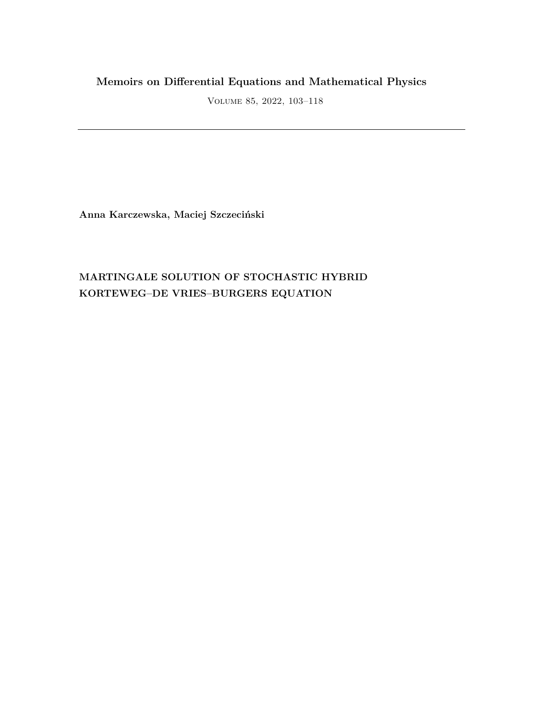# **Memoirs on Differential Equations and Mathematical Physics**

Volume 85, 2022, 103–118

**Anna Karczewska, Maciej Szczeciński**

# **MARTINGALE SOLUTION OF STOCHASTIC HYBRID KORTEWEG–DE VRIES–BURGERS EQUATION**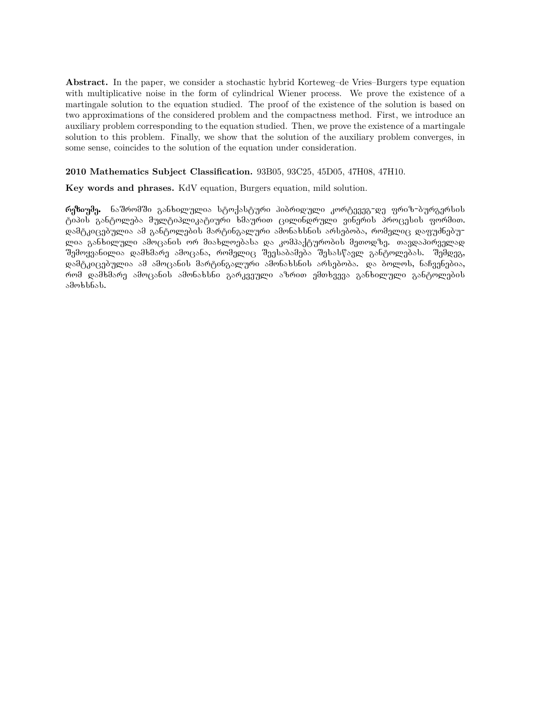**Abstract.** In the paper, we consider a stochastic hybrid Korteweg–de Vries–Burgers type equation with multiplicative noise in the form of cylindrical Wiener process. We prove the existence of a martingale solution to the equation studied. The proof of the existence of the solution is based on two approximations of the considered problem and the compactness method. First, we introduce an auxiliary problem corresponding to the equation studied. Then, we prove the existence of a martingale solution to this problem. Finally, we show that the solution of the auxiliary problem converges, in some sense, coincides to the solution of the equation under consideration.

#### **2010 Mathematics Subject Classification.** 93B05, 93C25, 45D05, 47H08, 47H10.

**Key words and phrases.** KdV equation, Burgers equation, mild solution.

რეზიუმე. ნაშრომში განხილულია სტოქასტური ჰიბრიდული კორტევეგ-დე ფრიზ-ბურგერსის ტიპის განტოლება მულტიპლიკატიური ხმაურით ცილინდრული ვინერის პროცესის ფორმით. დამტკიცებულია ამ განტოლების მარტინგალური ამონახსნის არსებობა, რომელიც დაფუძნებუ<del>-</del> ლია განხილული ამოცანის ორ მიახლოებასა და კომპაქტურობის მეთოდზე. თავდაპირველად შემოყვანილია დამხმარე ამოცანა, რომელიც შეესაბამება შესასწავლ განტოლებას. შემდეგ, დამტკიცებულია ამ ამოცანის მარტინგალური ამონახსნის არსებობა. და ბოლოს, ნაჩვენებია, რომ დამხმარე ამოცანის ამონახსნი გარკვეული აზრით ემთხვევა განხილული განტოლების  $\delta$ dmblbob.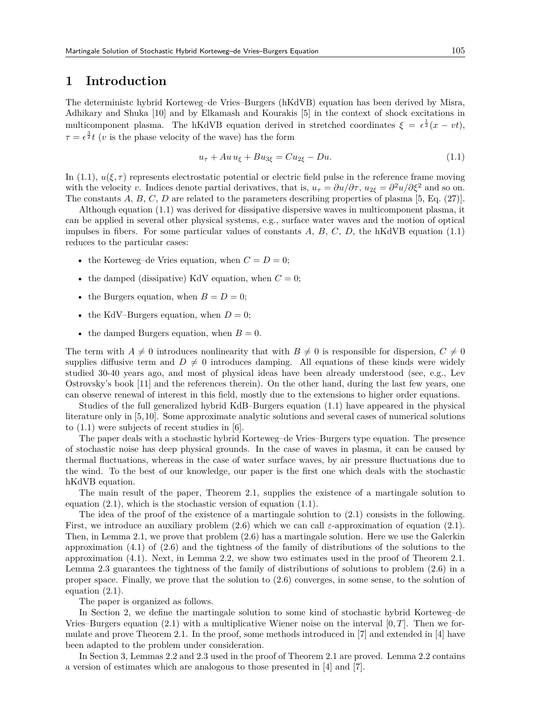### **1 Introduction**

The deterministc hybrid Korteweg–de Vries–Burgers (hKdVB) equation has been derived by Misra, Adhikary and Shuka [10] and by Elkamash and Kourakis [5] in the context of shock excitations in multicomponent plasma. The hKdVB equation derived in stretched coordinates  $\xi = \epsilon^{\frac{1}{2}}(x - vt)$ ,  $\tau = \epsilon^{\frac{3}{2}}t$  (*v* is the phase velocity of the wave) has the form

$$
u_{\tau} + Au u_{\xi} + Bu_{3\xi} = Cu_{2\xi} - Du.
$$
\n(1.1)

In (1.1),  $u(\xi, \tau)$  represents electrostatic potential or electric field pulse in the reference frame moving with the velocity *v*. Indices denote partial derivatives, that is,  $u_{\tau} = \partial u / \partial \tau$ ,  $u_{2\xi} = \partial^2 u / \partial \xi^2$  and so on. The constants A, B, C, D are related to the parameters describing properties of plasma [5, Eq. (27)].

Although equation (1.1) was derived for dissipative dispersive waves in multicomponent plasma, it can be applied in several other physical systems, e.g., surface water waves and the motion of optical impulses in fibers. For some particular values of constants *A*, *B*, *C*, *D*, the hKdVB equation (1.1) reduces to the particular cases:

- the Korteweg–de Vries equation, when  $C = D = 0$ ;
- the damped (dissipative) KdV equation, when  $C = 0$ ;
- the Burgers equation, when  $B = D = 0$ ;
- the KdV–Burgers equation, when  $D=0$ ;
- the damped Burgers equation, when  $B=0$ .

The term with  $A \neq 0$  introduces nonlinearity that with  $B \neq 0$  is responsible for dispersion,  $C \neq 0$ supplies diffusive term and  $D \neq 0$  introduces damping. All equations of these kinds were widely studied 30-40 years ago, and most of physical ideas have been already understood (see, e.g., Lev Ostrovsky's book [11] and the references therein). On the other hand, during the last few years, one can observe renewal of interest in this field, mostly due to the extensions to higher order equations.

Studies of the full generalized hybrid KdB–Burgers equation (1.1) have appeared in the physical literature only in [5,10]. Some approximate analytic solutions and several cases of numerical solutions to (1.1) were subjects of recent studies in [6].

The paper deals with a stochastic hybrid Korteweg–de Vries–Burgers type equation. The presence of stochastic noise has deep physical grounds. In the case of waves in plasma, it can be caused by thermal fluctuations, whereas in the case of water surface waves, by air pressure fluctuations due to the wind. To the best of our knowledge, our paper is the first one which deals with the stochastic hKdVB equation.

The main result of the paper, Theorem 2.1, supplies the existence of a martingale solution to equation (2.1), which is the stochastic version of equation (1.1).

The idea of the proof of the existence of a martingale solution to  $(2.1)$  consists in the following. First, we introduce an auxiliary problem (2.6) which we can call *ε*-approximation of equation (2.1). Then, in Lemma 2.1, we prove that problem (2.6) has a martingale solution. Here we use the Galerkin approximation  $(4.1)$  of  $(2.6)$  and the tightness of the family of distributions of the solutions to the approximation (4.1). Next, in Lemma 2.2, we show two estimates used in the proof of Theorem 2.1. Lemma 2.3 guarantees the tightness of the family of distributions of solutions to problem (2.6) in a proper space. Finally, we prove that the solution to (2.6) converges, in some sense, to the solution of equation (2.1).

The paper is organized as follows.

In Section 2, we define the martingale solution to some kind of stochastic hybrid Korteweg–de Vries–Burgers equation (2.1) with a multiplicative Wiener noise on the interval [0*, T*]. Then we formulate and prove Theorem 2.1. In the proof, some methods introduced in [7] and extended in [4] have been adapted to the problem under consideration.

In Section 3, Lemmas 2.2 and 2.3 used in the proof of Theorem 2.1 are proved. Lemma 2.2 contains a version of estimates which are analogous to those presented in [4] and [7].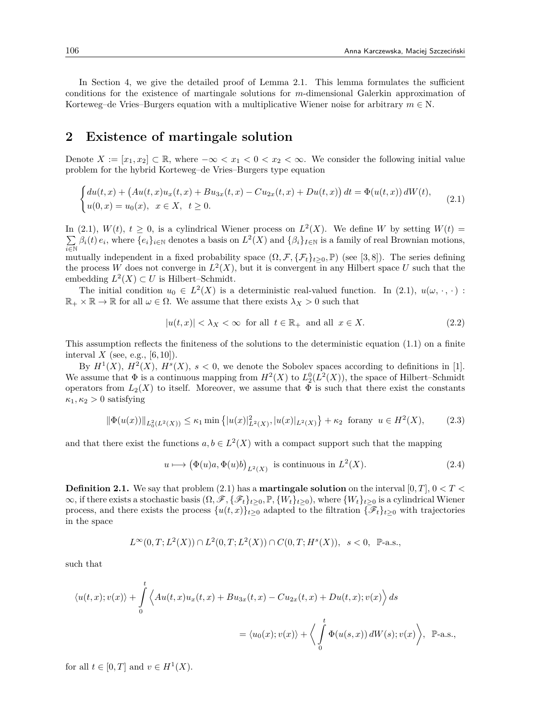In Section 4, we give the detailed proof of Lemma 2.1. This lemma formulates the sufficient conditions for the existence of martingale solutions for *m*-dimensional Galerkin approximation of Korteweg–de Vries–Burgers equation with a multiplicative Wiener noise for arbitrary  $m \in N$ .

### **2 Existence of martingale solution**

Denote  $X := [x_1, x_2] \subset \mathbb{R}$ , where  $-\infty < x_1 < 0 < x_2 < \infty$ . We consider the following initial value problem for the hybrid Korteweg–de Vries–Burgers type equation

$$
\begin{cases} du(t,x) + \left( Au(t,x)u_x(t,x) + Bu_{3x}(t,x) - Cu_{2x}(t,x) + Du(t,x) \right) dt = \Phi(u(t,x)) dW(t), \\ u(0,x) = u_0(x), \ \ x \in X, \ \ t \ge 0. \end{cases} \tag{2.1}
$$

In (2.1),  $W(t)$ ,  $t \geq 0$ , is a cylindrical Wiener process on  $L^2(X)$ . We define *W* by setting  $W(t)$  = ∑ *i∈*N  $\beta_i(t) e_i$ , where  $\{e_i\}_{i\in\mathbb{N}}$  denotes a basis on  $L^2(X)$  and  $\{\beta_i\}_{i\in\mathbb{N}}$  is a family of real Brownian motions, mutually independent in a fixed probability space  $(\Omega, \mathcal{F}, \{\mathcal{F}_t\}_{t\geq0}, \mathbb{P})$  (see [3,8]). The series defining the process W does not converge in  $L^2(X)$ , but it is convergent in any Hilbert space U such that the embedding  $L^2(X) \subset U$  is Hilbert–Schmidt.

The initial condition  $u_0 \in L^2(X)$  is a deterministic real-valued function. In (2.1),  $u(\omega, \cdot, \cdot)$ :  $\mathbb{R}_+ \times \mathbb{R} \to \mathbb{R}$  for all  $\omega \in \Omega$ . We assume that there exists  $\lambda_X > 0$  such that

$$
|u(t,x)| < \lambda_X < \infty \quad \text{for all} \quad t \in \mathbb{R}_+ \quad \text{and all} \quad x \in X. \tag{2.2}
$$

This assumption reflects the finiteness of the solutions to the deterministic equation (1.1) on a finite interval  $X$  (see, e.g.,  $[6, 10]$ ).

By  $H^1(X)$ ,  $H^2(X)$ ,  $H^s(X)$ ,  $s < 0$ , we denote the Sobolev spaces according to definitions in [1]. We assume that  $\Phi$  is a continuous mapping from  $H^2(X)$  to  $L_2^0(L^2(X))$ , the space of Hilbert–Schmidt operators from  $L_2(X)$  to itself. Moreover, we assume that  $\Phi$  is such that there exist the constants  $\kappa_1, \kappa_2 > 0$  satisfying

$$
\|\Phi(u(x))\|_{L_0^2(L^2(X))} \le \kappa_1 \min\left\{|u(x)|^2_{L^2(X)}, |u(x)|_{L^2(X)}\right\} + \kappa_2 \text{ for any } u \in H^2(X),\tag{2.3}
$$

and that there exist the functions  $a, b \in L^2(X)$  with a compact support such that the mapping

$$
u \longmapsto (\Phi(u)a, \Phi(u)b)_{L^2(X)} \text{ is continuous in } L^2(X). \tag{2.4}
$$

**Definition 2.1.** We say that problem (2.1) has a **martingale solution** on the interval [0*, T*], 0 *< T <*  $\infty$ , if there exists a stochastic basis  $(\Omega, \mathcal{F}, \{\mathcal{F}_t\}_{t\geq 0}, \mathbb{P}, \{W_t\}_{t\geq 0})$ , where  $\{W_t\}_{t\geq 0}$  is a cylindrical Wiener process, and there exists the process  $\{u(t,x)\}_{t>0}$  adapted to the filtration  $\{\mathscr{F}_t\}_{t>0}$  with trajectories in the space

$$
L^{\infty}(0,T;L^{2}(X))\cap L^{2}(0,T;L^{2}(X))\cap C(0,T;H^{s}(X)), s<0, \mathbb{P}\text{-a.s.},
$$

such that

$$
\langle u(t,x);v(x)\rangle + \int_{0}^{t} \langle Au(t,x)u_x(t,x) + Bu_{3x}(t,x) - Cu_{2x}(t,x) + Du(t,x);v(x)\rangle ds
$$
  

$$
= \langle u_0(x);v(x)\rangle + \langle \int_{0}^{t} \Phi(u(s,x)) dW(s);v(x)\rangle, \quad \mathbb{P}\text{-a.s.},
$$

for all  $t \in [0, T]$  and  $v \in H^1(X)$ .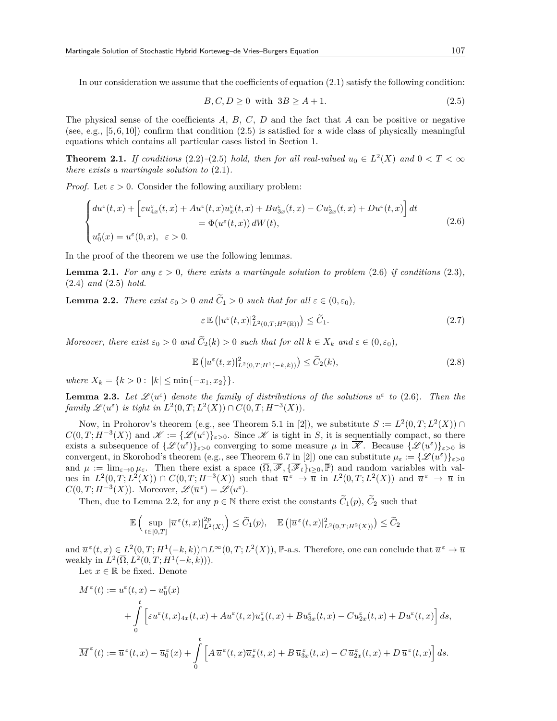In our consideration we assume that the coefficients of equation (2.1) satisfy the following condition:

$$
B, C, D \ge 0 \quad \text{with} \quad 3B \ge A + 1. \tag{2.5}
$$

The physical sense of the coefficients *A*, *B*, *C*, *D* and the fact that *A* can be positive or negative (see, e.g.,  $[5, 6, 10]$ ) confirm that condition  $(2.5)$  is satisfied for a wide class of physically meaningful equations which contains all particular cases listed in Section 1.

**Theorem 2.1.** *If conditions*  $(2.2)$ *–* $(2.5)$  *hold, then for all real-valued*  $u_0 \in L^2(X)$  *and*  $0 < T < \infty$ *there exists a martingale solution to* (2.1)*.*

*Proof.* Let  $\varepsilon > 0$ . Consider the following auxiliary problem:

$$
\begin{cases} du^{\varepsilon}(t,x) + \left[\varepsilon u^{\varepsilon}_{4x}(t,x) + Au^{\varepsilon}(t,x)u^{\varepsilon}_{x}(t,x) + Bu^{\varepsilon}_{3x}(t,x) - Cu^{\varepsilon}_{2x}(t,x) + Du^{\varepsilon}(t,x)\right]dt \\qquad \qquad = \Phi(u^{\varepsilon}(t,x))\,dW(t), \end{cases} \tag{2.6}
$$

In the proof of the theorem we use the following lemmas.

**Lemma 2.1.** *For any*  $\varepsilon > 0$ *, there exists a martingale solution to problem* (2.6) *if conditions* (2.3)*,* (2.4) *and* (2.5) *hold.*

**Lemma 2.2.** *There exist*  $\varepsilon_0 > 0$  *and*  $\widetilde{C}_1 > 0$  *such that for all*  $\varepsilon \in (0, \varepsilon_0)$ *,* 

$$
\varepsilon \mathbb{E} \left( |u^{\varepsilon}(t,x)|_{L^{2}(0,T;H^{2}(\mathbb{R}))}^{2} \right) \leq \widetilde{C}_{1}.
$$
\n(2.7)

*Moreover, there exist*  $\varepsilon_0 > 0$  *and*  $\widetilde{C}_2(k) > 0$  *such that for all*  $k \in X_k$  *and*  $\varepsilon \in (0, \varepsilon_0)$ *,* 

$$
\mathbb{E}\left(|u^{\varepsilon}(t,x)|_{L^{2}(0,T;H^{1}(-k,k))}^{2}\right) \leq \widetilde{C}_{2}(k),\tag{2.8}
$$

 $where X_k = \{k > 0 : |k| \le \min\{-x_1, x_2\}\}.$ 

**Lemma 2.3.** Let  $\mathscr{L}(u^{\varepsilon})$  denote the family of distributions of the solutions  $u^{\varepsilon}$  to (2.6). Then the *family*  $\mathscr{L}(u^{\varepsilon})$  *is tight in*  $L^2(0,T; L^2(X)) \cap C(0,T; H^{-3}(X)).$ 

Now, in Prohorov's theorem (e.g., see Theorem 5.1 in [2]), we substitute  $S := L^2(0,T; L^2(X)) \cap$  $C(0,T; H^{-3}(X))$  and  $\mathscr{K} := \{ \mathscr{L}(u^{\varepsilon}) \}_{\varepsilon > 0}$ . Since  $\mathscr{K}$  is tight in *S*, it is sequentially compact, so there exists a subsequence of  $\{\mathscr{L}(u^{\varepsilon})\}_{\varepsilon>0}$  converging to some measure  $\mu$  in  $\overline{\mathscr{K}}$ . Because  $\{\mathscr{L}(u^{\varepsilon})\}_{\varepsilon>0}$  is convergent, in Skorohod's theorem (e.g., see Theorem 6.7 in [2]) one can substitute  $\mu_{\varepsilon} := {\{\mathscr{L}(u^{\varepsilon})\}}_{\varepsilon>0}$ and  $\mu := \lim_{\varepsilon \to 0} \mu_{\varepsilon}$ . Then there exist a space  $(\overline{\Omega}, \overline{\mathscr{F}}, {\overline{\mathscr{F}}_t}_{t\geq 0}^{\vee}, \overline{\mathbb{P}})$  and random variables with values in  $L^2(0,T;L^2(X)) \cap C(0,T;H^{-3}(X))$  such that  $\overline{u}^{\varepsilon} \to \overline{u}$  in  $L^2(0,T;L^2(X))$  and  $\overline{u}^{\varepsilon} \to \overline{u}$  in *C*(0, *T*; *H*<sup>−3</sup>(*X*)). Moreover,  $\mathscr{L}(\overline{u}^{\varepsilon}) = \mathscr{L}(u^{\varepsilon})$ .

Then, due to Lemma 2.2, for any  $p \in \mathbb{N}$  there exist the constants  $\widetilde{C}_1(p)$ ,  $\widetilde{C}_2$  such that

$$
\mathbb{E}\left(\sup_{t\in[0,T]}|\overline{u}^{\,\varepsilon}(t,x)|^{2p}_{L^2(X)}\right)\leq \widetilde{C}_1(p),\quad \mathbb{E}\left(|\overline{u}^{\,\varepsilon}(t,x)|^{2}_{L^2(0,T;H^2(X))}\right)\leq \widetilde{C}_2
$$

and  $\overline{u}^{\varepsilon}(t,x) \in L^2(0,T;H^1(-k,k)) \cap L^{\infty}(0,T;L^2(X)),$  P-a.s. Therefore, one can conclude that  $\overline{u}^{\varepsilon} \to \overline{u}$ weakly in  $L^2(\overline{\Omega}, L^2(0,T; H^1(-k,k))).$ 

Let  $x \in \mathbb{R}$  be fixed. Denote

$$
M^{\varepsilon}(t) := u^{\varepsilon}(t, x) - u^{\varepsilon}_{0}(x)
$$
  
+ 
$$
\int_{0}^{t} \left[ \varepsilon u^{\varepsilon}(t, x)_{4x}(t, x) + Au^{\varepsilon}(t, x)u^{\varepsilon}_{x}(t, x) + Bu^{\varepsilon}_{3x}(t, x) - Cu^{\varepsilon}_{2x}(t, x) + Du^{\varepsilon}(t, x) \right] ds,
$$
  

$$
\overline{M}^{\varepsilon}(t) := \overline{u}^{\varepsilon}(t, x) - \overline{u}^{\varepsilon}_{0}(x) + \int_{0}^{t} \left[ A \overline{u}^{\varepsilon}(t, x) \overline{u}^{\varepsilon}_{x}(t, x) + B \overline{u}^{\varepsilon}_{3x}(t, x) - C \overline{u}^{\varepsilon}_{2x}(t, x) + D \overline{u}^{\varepsilon}(t, x) \right] ds.
$$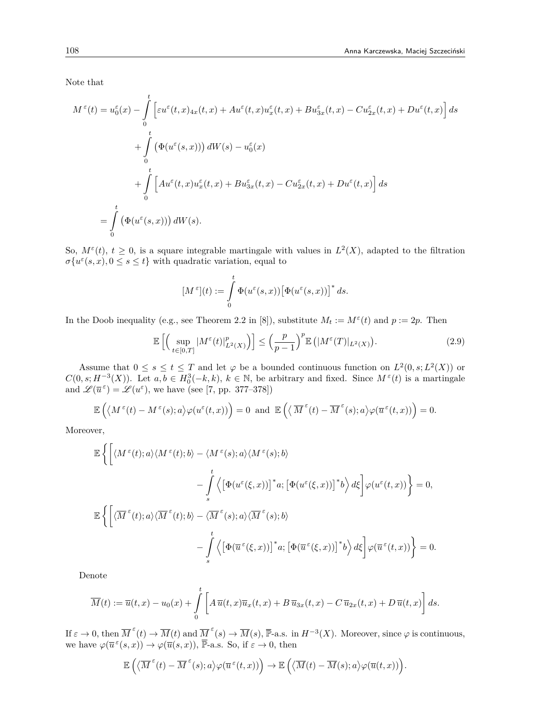Note that

$$
M^{\varepsilon}(t) = u_0^{\varepsilon}(x) - \int_0^t \left[ \varepsilon u^{\varepsilon}(t, x)_{4x}(t, x) + Au^{\varepsilon}(t, x)u_x^{\varepsilon}(t, x) + Bu_{3x}^{\varepsilon}(t, x) - Cu_{2x}^{\varepsilon}(t, x) + Du^{\varepsilon}(t, x) \right] ds
$$
  
+ 
$$
\int_0^t \left( \Phi(u^{\varepsilon}(s, x))) dW(s) - u_0^{\varepsilon}(x) + \int_0^t \left[ Au^{\varepsilon}(t, x)u_x^{\varepsilon}(t, x) + Bu_{3x}^{\varepsilon}(t, x) - Cu_{2x}^{\varepsilon}(t, x) + Du^{\varepsilon}(t, x) \right] ds
$$
  
= 
$$
\int_0^t \left( \Phi(u^{\varepsilon}(s, x))) dW(s).
$$

So,  $M^{\varepsilon}(t)$ ,  $t \geq 0$ , is a square integrable martingale with values in  $L^2(X)$ , adapted to the filtration  $\sigma\{u^{\varepsilon}(s,x), 0 \leq s \leq t\}$  with quadratic variation, equal to

$$
[M^{\,\varepsilon}](t):=\int\limits_0^t\Phi(u^{\varepsilon}(s,x))\big[\Phi(u^{\varepsilon}(s,x))\big]^*\,ds.
$$

In the Doob inequality (e.g., see Theorem 2.2 in [8]), substitute  $M_t := M^{\varepsilon}(t)$  and  $p := 2p$ . Then

$$
\mathbb{E}\left[\left(\sup_{t\in[0,T]}|M^{\varepsilon}(t)|_{L^{2}(X)}^{p}\right)\right] \leq \left(\frac{p}{p-1}\right)^{p}\mathbb{E}\left(|M^{\varepsilon}(T)|_{L^{2}(X)}\right).
$$
\n(2.9)

Assume that  $0 \leq s \leq t \leq T$  and let  $\varphi$  be a bounded continuous function on  $L^2(0, s; L^2(X))$  or  $C(0, s; H^{-3}(X))$ . Let  $a, b \in H_0^3(-k, k)$ ,  $k \in \mathbb{N}$ , be arbitrary and fixed. Since  $M^{\varepsilon}(t)$  is a martingale and  $\mathscr{L}(\overline{u}^{\varepsilon}) = \mathscr{L}(u^{\varepsilon})$ , we have (see [7, pp. 377–378])

$$
\mathbb{E}\left(\langle M^{\varepsilon}(t)-M^{\varepsilon}(s);a\rangle\varphi(u^{\varepsilon}(t,x))\right)=0\;\;\text{and}\;\;\mathbb{E}\left(\langle \overline{M}^{\varepsilon}(t)-\overline{M}^{\varepsilon}(s);a\rangle\varphi(\overline{u}^{\varepsilon}(t,x))\right)=0.
$$

Moreover,

$$
\mathbb{E}\left\{\left[\langle M^{\varepsilon}(t);a\rangle\langle M^{\varepsilon}(t);b\rangle-\langle M^{\varepsilon}(s);a\rangle\langle M^{\varepsilon}(s);b\rangle\right.\right.\left.\left.-\int\limits_{s}^{t}\left\langle\left[\Phi(u^{\varepsilon}(\xi,x))\right]^{*}a;\left[\Phi(u^{\varepsilon}(\xi,x))\right]^{*}b\right\rangle d\xi\right]\varphi(u^{\varepsilon}(t,x))\right\}=0,\mathbb{E}\left\{\left[\langle\overline{M}^{\varepsilon}(t);a\rangle\langle\overline{M}^{\varepsilon}(t);b\rangle-\langle\overline{M}^{\varepsilon}(s);a\rangle\langle\overline{M}^{\varepsilon}(s);b\rangle\right.\left.\left.-\int\limits_{s}^{t}\left\langle\left[\Phi(\overline{u}^{\varepsilon}(\xi,x))\right]^{*}a;\left[\Phi(\overline{u}^{\varepsilon}(\xi,x))\right]^{*}b\right\rangle d\xi\right]\varphi(\overline{u}^{\varepsilon}(t,x))\right\}=0.
$$

Denote

$$
\overline{M}(t) := \overline{u}(t,x) - u_0(x) + \int_0^t \left[ A \overline{u}(t,x) \overline{u}_x(t,x) + B \overline{u}_{3x}(t,x) - C \overline{u}_{2x}(t,x) + D \overline{u}(t,x) \right] ds.
$$

If  $\varepsilon \to 0$ , then  $\overline{M}^{\varepsilon}(t) \to \overline{M}(t)$  and  $\overline{M}^{\varepsilon}(s) \to \overline{M}(s)$ ,  $\overline{\mathbb{P}}$ -a.s. in  $H^{-3}(X)$ . Moreover, since  $\varphi$  is continuous, we have  $\varphi(\overline{u}^{\varepsilon}(s,x)) \to \varphi(\overline{u}(s,x))$ ,  $\overline{\mathbb{P}}$ -a.s. So, if  $\varepsilon \to 0$ , then

$$
\mathbb{E}\left(\left\langle\overline{M}^{\,\varepsilon}(t)-\overline{M}^{\,\varepsilon}(s);a\right\rangle\varphi(\overline{u}^{\,\varepsilon}(t,x))\right)\rightarrow\mathbb{E}\left(\left\langle\overline{M}(t)-\overline{M}(s);a\right\rangle\varphi(\overline{u}(t,x))\right)\!.
$$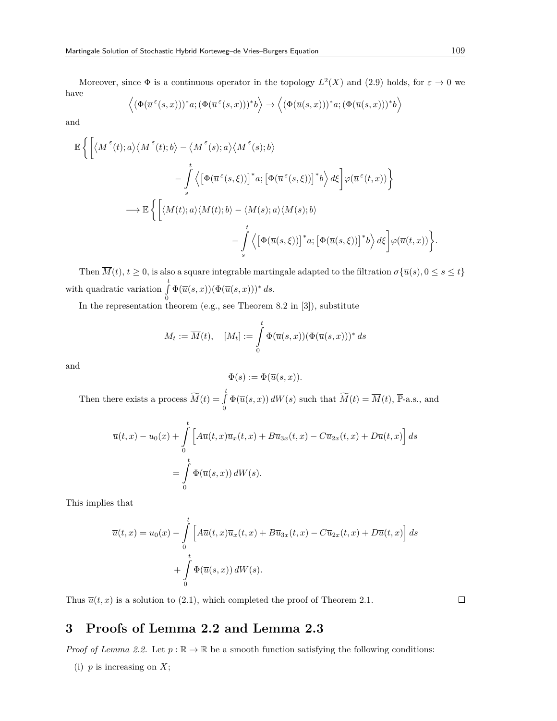Moreover, since  $\Phi$  is a continuous operator in the topology  $L^2(X)$  and (2.9) holds, for  $\varepsilon \to 0$  we have ⟨

$$
\left\langle (\Phi(\overline{u}^{\varepsilon}(s,x)))^*a;(\Phi(\overline{u}^{\varepsilon}(s,x)))^*b \right\rangle \to \left\langle (\Phi(\overline{u}(s,x)))^*a;(\Phi(\overline{u}(s,x)))^*b \right\rangle
$$

and

$$
\mathbb{E}\left\{\left[\langle\overline{M}^{\varepsilon}(t);a\rangle\langle\overline{M}^{\varepsilon}(t);b\rangle-\langle\overline{M}^{\varepsilon}(s);a\rangle\langle\overline{M}^{\varepsilon}(s);b\rangle\right.\right.\left.\quad-\int\limits_{s}^{t}\left\langle\left[\Phi(\overline{u}^{\varepsilon}(s,\xi))\right]^{*}a;\left[\Phi(\overline{u}^{\varepsilon}(s,\xi))\right]^{*}b\right\rangle d\xi\right]\varphi(\overline{u}^{\varepsilon}(t,x))\right\}\\ \longrightarrow\mathbb{E}\left\{\left[\langle\overline{M}(t);a\rangle\langle\overline{M}(t);b\rangle-\langle\overline{M}(s);a\rangle\langle\overline{M}(s);b\rangle\right.\left.\quad-\int\limits_{s}^{t}\left\langle\left[\Phi(\overline{u}(s,\xi))\right]^{*}a;\left[\Phi(\overline{u}(s,\xi))\right]^{*}b\right\rangle d\xi\right]\varphi(\overline{u}(t,x))\right\}.
$$

Then  $\overline{M}(t)$ ,  $t \geq 0$ , is also a square integrable martingale adapted to the filtration  $\sigma \{ \overline{u}(s), 0 \leq s \leq t \}$ with quadratic variation <sup>∫</sup>*<sup>t</sup>* 0  $\Phi(\overline{u}(s,x))(\Phi(\overline{u}(s,x)))^* ds.$ 

In the representation theorem (e.g., see Theorem 8.2 in [3]), substitute

$$
M_t := \overline{M}(t), \quad [M_t] := \int\limits_0^t \Phi(\overline{u}(s,x))(\Phi(\overline{u}(s,x)))^* ds
$$

and

$$
\Phi(s) := \Phi(\overline{u}(s, x)).
$$

Then there exists a process  $\widetilde{M}(t) = \int_{0}^{t} \Phi(\overline{u}(s, x)) dW(s)$  such that  $\widetilde{M}(t) = \overline{M}(t)$ ,  $\overline{\mathbb{P}}$ -a.s., and

$$
\overline{u}(t,x) - u_0(x) + \int_0^t \left[ A \overline{u}(t,x) \overline{u}_x(t,x) + B \overline{u}_{3x}(t,x) - C \overline{u}_{2x}(t,x) + D \overline{u}(t,x) \right] ds
$$

$$
= \int_0^t \Phi(\overline{u}(s,x)) dW(s).
$$

This implies that

$$
\overline{u}(t,x) = u_0(x) - \int_0^t \left[ A\overline{u}(t,x)\overline{u}_x(t,x) + B\overline{u}_{3x}(t,x) - C\overline{u}_{2x}(t,x) + D\overline{u}(t,x) \right] ds
$$

$$
+ \int_0^t \Phi(\overline{u}(s,x)) dW(s).
$$

Thus  $\overline{u}(t, x)$  is a solution to (2.1), which completed the proof of Theorem 2.1.

 $\Box$ 

# **3 Proofs of Lemma 2.2 and Lemma 2.3**

*Proof of Lemma 2.2.* Let  $p : \mathbb{R} \to \mathbb{R}$  be a smooth function satisfying the following conditions:

(i) *p* is increasing on *X*;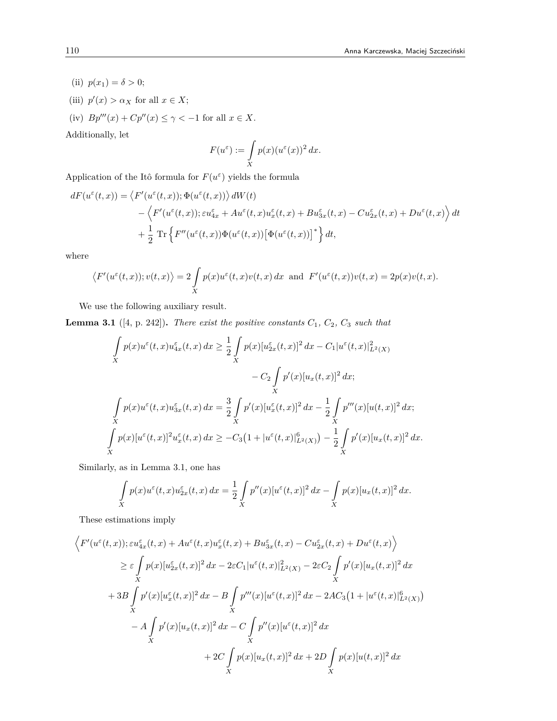- (ii)  $p(x_1) = \delta > 0;$
- (iii)  $p'(x) > \alpha_X$  for all  $x \in X$ ;
- (iv)  $Bp'''(x) + Cp''(x) \le \gamma < -1$  for all  $x \in X$ .

Additionally, let

$$
F(u^{\varepsilon}) := \int\limits_X p(x) (u^{\varepsilon}(x))^2 dx.
$$

Application of the Itô formula for  $F(u^{\varepsilon})$  yields the formula

$$
dF(u^{\varepsilon}(t,x)) = \left\langle F'(u^{\varepsilon}(t,x)); \Phi(u^{\varepsilon}(t,x)) \right\rangle dW(t)
$$
  
 
$$
- \left\langle F'(u^{\varepsilon}(t,x)); \varepsilon u^{\varepsilon}_{4x} + Au^{\varepsilon}(t,x)u^{\varepsilon}_{x}(t,x) + Bu^{\varepsilon}_{3x}(t,x) - Cu^{\varepsilon}_{2x}(t,x) + Du^{\varepsilon}(t,x) \right\rangle dt
$$
  
 
$$
+ \frac{1}{2} \operatorname{Tr} \left\{ F''(u^{\varepsilon}(t,x)) \Phi(u^{\varepsilon}(t,x)) \left[ \Phi(u^{\varepsilon}(t,x)) \right]^{*} \right\} dt,
$$

where

$$
\left\langle F'(u^{\varepsilon}(t,x));v(t,x)\right\rangle=2\int\limits_Xp(x)u^{\varepsilon}(t,x)v(t,x)\,dx\;\;\text{and}\;\;F'(u^{\varepsilon}(t,x))v(t,x)=2p(x)v(t,x).
$$

We use the following auxiliary result.

**Lemma 3.1** ([4, p. 242]). *There exist the positive constants*  $C_1$ ,  $C_2$ ,  $C_3$  *such that* 

$$
\int_{X} p(x)u^{\varepsilon}(t,x)u^{\varepsilon}_{4x}(t,x) dx \geq \frac{1}{2} \int_{X} p(x)[u^{\varepsilon}_{2x}(t,x)]^{2} dx - C_{1}|u^{\varepsilon}(t,x)|_{L^{2}(X)}^{2}
$$
\n
$$
- C_{2} \int_{X} p'(x)[u_{x}(t,x)]^{2} dx;
$$
\n
$$
\int_{X} p(x)u^{\varepsilon}(t,x)u^{\varepsilon}_{3x}(t,x) dx = \frac{3}{2} \int_{X} p'(x)[u^{\varepsilon}_{x}(t,x)]^{2} dx - \frac{1}{2} \int_{X} p'''(x)[u(t,x)]^{2} dx;
$$
\n
$$
\int_{X} p(x)[u^{\varepsilon}(t,x)]^{2} u^{\varepsilon}_{x}(t,x) dx \geq -C_{3} \left(1+|u^{\varepsilon}(t,x)|_{L^{2}(X)}^{\beta}\right) - \frac{1}{2} \int_{X} p'(x)[u_{x}(t,x)]^{2} dx.
$$

Similarly, as in Lemma 3.1, one has

$$
\int\limits_X p(x)u^{\varepsilon}(t,x)u^{\varepsilon}_{2x}(t,x)\,dx = \frac{1}{2}\int\limits_X p''(x)[u^{\varepsilon}(t,x)]^2\,dx - \int\limits_X p(x)[u_x(t,x)]^2\,dx.
$$

These estimations imply

$$
\left\langle F'(u^{\varepsilon}(t,x)); \varepsilon u_{4x}^{\varepsilon}(t,x) + Au^{\varepsilon}(t,x)u_{x}^{\varepsilon}(t,x) + Bu_{3x}^{\varepsilon}(t,x) - Cu_{2x}^{\varepsilon}(t,x) + Du^{\varepsilon}(t,x) \right\rangle
$$
  
\n
$$
\geq \varepsilon \int_{X} p(x)[u_{2x}^{\varepsilon}(t,x)]^{2} dx - 2\varepsilon C_{1}|u^{\varepsilon}(t,x)|_{L^{2}(X)}^{2} - 2\varepsilon C_{2} \int_{X} p'(x)[u_{x}(t,x)]^{2} dx
$$
  
\n
$$
+ 3B \int_{X} p'(x)[u_{x}^{\varepsilon}(t,x)]^{2} dx - B \int_{X} p'''(x)[u^{\varepsilon}(t,x)]^{2} dx - 2AC_{3}(1 + |u^{\varepsilon}(t,x)|_{L^{2}(X)}^{6})
$$
  
\n
$$
- A \int_{X} p'(x)[u_{x}(t,x)]^{2} dx - C \int_{X} p''(x)[u^{\varepsilon}(t,x)]^{2} dx
$$
  
\n
$$
+ 2C \int_{X} p(x)[u_{x}(t,x)]^{2} dx + 2D \int_{X} p(x)[u(t,x)]^{2} dx
$$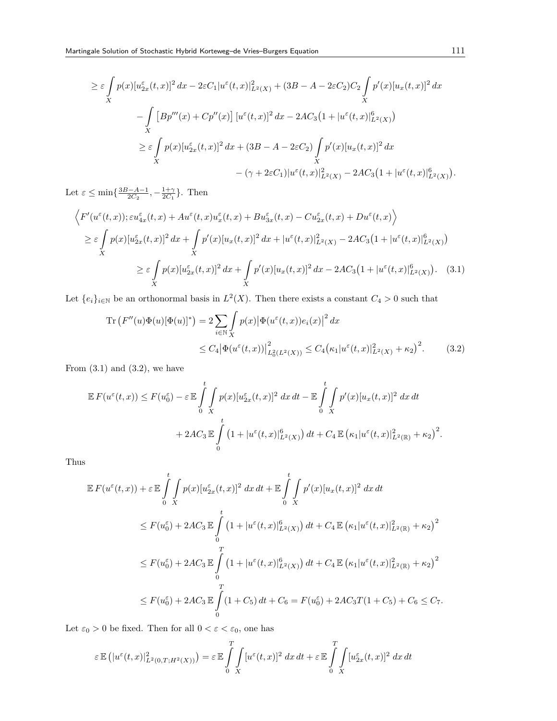$$
\geq \varepsilon \int_{X} p(x) [u_{2x}^{\varepsilon}(t,x)]^{2} dx - 2\varepsilon C_{1} |u^{\varepsilon}(t,x)|_{L^{2}(X)}^{2} + (3B - A - 2\varepsilon C_{2})C_{2} \int_{X} p'(x) [u_{x}(t,x)]^{2} dx
$$
  

$$
- \int_{X} [B p'''(x) + C p''(x)] [u^{\varepsilon}(t,x)]^{2} dx - 2AC_{3} (1 + |u^{\varepsilon}(t,x)|_{L^{2}(X)}^{6})
$$
  

$$
\geq \varepsilon \int_{X} p(x) [u_{2x}^{\varepsilon}(t,x)]^{2} dx + (3B - A - 2\varepsilon C_{2}) \int_{X} p'(x) [u_{x}(t,x)]^{2} dx
$$
  

$$
- (\gamma + 2\varepsilon C_{1}) |u^{\varepsilon}(t,x)|_{L^{2}(X)}^{2} - 2AC_{3} (1 + |u^{\varepsilon}(t,x)|_{L^{2}(X)}^{6}).
$$

Let  $\varepsilon \le \min\{\frac{3B-A-1}{2C_2}, -\frac{1+\gamma}{2C_1}\}$ . Then

$$
\left\langle F'(u^{\varepsilon}(t,x)); \varepsilon u^{\varepsilon}_{4x}(t,x) + Au^{\varepsilon}(t,x)u^{\varepsilon}_{x}(t,x) + Bu^{\varepsilon}_{3x}(t,x) - Cu^{\varepsilon}_{2x}(t,x) + Du^{\varepsilon}(t,x) \right\rangle
$$
  
\n
$$
\geq \varepsilon \int_{X} p(x)[u^{\varepsilon}_{2x}(t,x)]^{2} dx + \int_{X} p'(x)[u_{x}(t,x)]^{2} dx + |u^{\varepsilon}(t,x)|^{2}_{L^{2}(X)} - 2AC_{3}(1 + |u^{\varepsilon}(t,x)|^{6}_{L^{2}(X)})
$$
  
\n
$$
\geq \varepsilon \int_{X} p(x)[u^{\varepsilon}_{2x}(t,x)]^{2} dx + \int_{X} p'(x)[u_{x}(t,x)]^{2} dx - 2AC_{3}(1 + |u^{\varepsilon}(t,x)|^{6}_{L^{2}(X)}). \quad (3.1)
$$

Let  $\{e_i\}_{i\in\mathbb{N}}$  be an orthonormal basis in  $L^2(X)$ . Then there exists a constant  $C_4 > 0$  such that

$$
\operatorname{Tr}\left(F''(u)\Phi(u)[\Phi(u)]^*\right) = 2\sum_{i\in\mathbb{N}} \int_{X} p(x) \left|\Phi(u^{\varepsilon}(t,x))e_i(x)\right|^2 dx
$$
  

$$
\leq C_4 \left|\Phi(u^{\varepsilon}(t,x))\right|_{L_0^2(L^2(X))}^2 \leq C_4 \left(\kappa_1 |u^{\varepsilon}(t,x)|_{L^2(X)}^2 + \kappa_2\right)^2.
$$
 (3.2)

From  $(3.1)$  and  $(3.2)$ , we have

$$
\mathbb{E} F(u^{\varepsilon}(t,x)) \le F(u_0^{\varepsilon}) - \varepsilon \mathbb{E} \int_0^t \int_X p(x) [u_{2x}^{\varepsilon}(t,x)]^2 dx dt - \mathbb{E} \int_0^t \int_X p'(x) [u_x(t,x)]^2 dx dt
$$
  
+ 
$$
2AC_3 \mathbb{E} \int_0^t \left(1 + |u^{\varepsilon}(t,x)|_{L^2(X)}^6\right) dt + C_4 \mathbb{E} \left(\kappa_1 |u^{\varepsilon}(t,x)|_{L^2(\mathbb{R})}^2 + \kappa_2\right)^2.
$$

Thus

$$
\mathbb{E} F(u^{\varepsilon}(t,x)) + \varepsilon \mathbb{E} \int_{0}^{t} \int_{X} p(x)[u^{\varepsilon}_{2x}(t,x)]^{2} dx dt + \mathbb{E} \int_{0}^{t} \int_{X} p'(x)[u_{x}(t,x)]^{2} dx dt
$$
  
\n
$$
\leq F(u^{\varepsilon}_{0}) + 2AC_{3} \mathbb{E} \int_{0}^{t} \left(1 + |u^{\varepsilon}(t,x)|_{L^{2}(X)}^{\varepsilon}\right) dt + C_{4} \mathbb{E} \left(\kappa_{1} |u^{\varepsilon}(t,x)|_{L^{2}(\mathbb{R})}^{2} + \kappa_{2}\right)^{2}
$$
  
\n
$$
\leq F(u^{\varepsilon}_{0}) + 2AC_{3} \mathbb{E} \int_{0}^{T} \left(1 + |u^{\varepsilon}(t,x)|_{L^{2}(X)}^{\varepsilon}\right) dt + C_{4} \mathbb{E} \left(\kappa_{1} |u^{\varepsilon}(t,x)|_{L^{2}(\mathbb{R})}^{2} + \kappa_{2}\right)^{2}
$$
  
\n
$$
\leq F(u^{\varepsilon}_{0}) + 2AC_{3} \mathbb{E} \int_{0}^{T} \left(1 + C_{5}\right) dt + C_{6} = F(u^{\varepsilon}_{0}) + 2AC_{3}T(1 + C_{5}) + C_{6} \leq C_{7}.
$$

Let  $\varepsilon_0>0$  be fixed. Then for all  $0<\varepsilon<\varepsilon_0,$  one has

$$
\varepsilon \mathbb{E} \left( |u^{\varepsilon}(t,x)|_{L^{2}(0,T;H^{2}(X))}^{2} \right) = \varepsilon \mathbb{E} \int_{0}^{T} \int_{X} [u^{\varepsilon}(t,x)]^{2} dx dt + \varepsilon \mathbb{E} \int_{0}^{T} \int_{X} [u^{\varepsilon}_{2x}(t,x)]^{2} dx dt
$$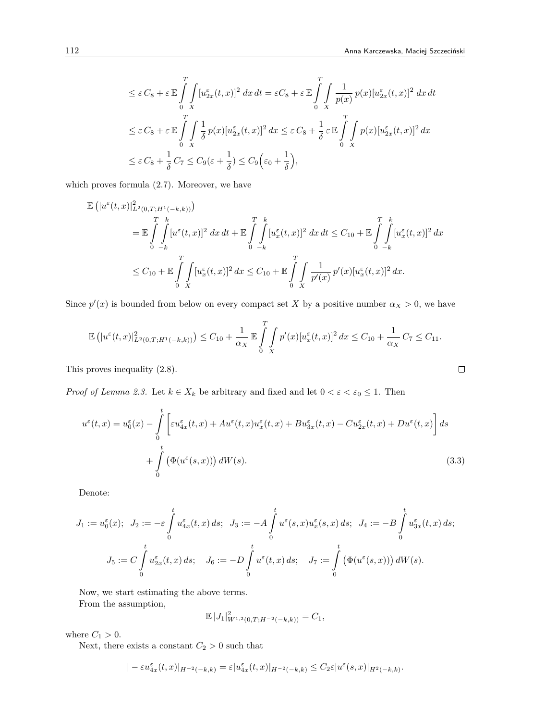$$
\leq \varepsilon C_8 + \varepsilon \mathbb{E} \int_{0}^{T} \int_{X} [u_{2x}^{\varepsilon}(t,x)]^2 dx dt = \varepsilon C_8 + \varepsilon \mathbb{E} \int_{0}^{T} \int_{X} \frac{1}{p(x)} p(x) [u_{2x}^{\varepsilon}(t,x)]^2 dx dt
$$
  
\n
$$
\leq \varepsilon C_8 + \varepsilon \mathbb{E} \int_{0}^{T} \int_{X} \frac{1}{\delta} p(x) [u_{2x}^{\varepsilon}(t,x)]^2 dx \leq \varepsilon C_8 + \frac{1}{\delta} \varepsilon \mathbb{E} \int_{0}^{T} \int_{X} p(x) [u_{2x}^{\varepsilon}(t,x)]^2 dx
$$
  
\n
$$
\leq \varepsilon C_8 + \frac{1}{\delta} C_7 \leq C_9 (\varepsilon + \frac{1}{\delta}) \leq C_9 (\varepsilon_0 + \frac{1}{\delta}),
$$

which proves formula (2.7). Moreover, we have

$$
\mathbb{E} \left( |u^{\varepsilon}(t,x)|_{L^{2}(0,T;H^{1}(-k,k))}^{2} \right)
$$
\n
$$
= \mathbb{E} \int_{0}^{T} \int_{-k}^{k} [u^{\varepsilon}(t,x)]^{2} dx dt + \mathbb{E} \int_{0}^{T} \int_{-k}^{k} [u^{\varepsilon}_{x}(t,x)]^{2} dx dt \leq C_{10} + \mathbb{E} \int_{0}^{T} \int_{-k}^{k} [u^{\varepsilon}_{x}(t,x)]^{2} dx
$$
\n
$$
\leq C_{10} + \mathbb{E} \int_{0}^{T} \int_{X} [u^{\varepsilon}_{x}(t,x)]^{2} dx \leq C_{10} + \mathbb{E} \int_{0}^{T} \int_{X} \frac{1}{p'(x)} p'(x) [u^{\varepsilon}_{x}(t,x)]^{2} dx.
$$

Since  $p'(x)$  is bounded from below on every compact set *X* by a positive number  $\alpha_X > 0$ , we have

$$
\mathbb{E}\left(|u^{\varepsilon}(t,x)|^{2}_{L^{2}(0,T;H^{1}(-k,k))}\right) \leq C_{10} + \frac{1}{\alpha_{X}}\mathbb{E}\int_{0}^{T}\int_{X}p'(x)[u^{\varepsilon}_{x}(t,x)]^{2} dx \leq C_{10} + \frac{1}{\alpha_{X}}C_{7} \leq C_{11}.
$$

This proves inequality (2.8).

*Proof of Lemma 2.3.* Let  $k \in X_k$  be arbitrary and fixed and let  $0 < \varepsilon < \varepsilon_0 \leq 1$ . Then

$$
u^{\varepsilon}(t,x) = u_0^{\varepsilon}(x) - \int_0^t \left[ \varepsilon u_{4x}^{\varepsilon}(t,x) + Au^{\varepsilon}(t,x)u_x^{\varepsilon}(t,x) + Bu_{3x}^{\varepsilon}(t,x) - Cu_{2x}^{\varepsilon}(t,x) + Du^{\varepsilon}(t,x) \right] ds
$$
  
+ 
$$
\int_0^t \left( \Phi(u^{\varepsilon}(s,x)) \right) dW(s).
$$
 (3.3)

Denote:

$$
J_1 := u_0^{\varepsilon}(x); \quad J_2 := -\varepsilon \int_0^t u_{4x}^{\varepsilon}(t, x) \, ds; \quad J_3 := -A \int_0^t u^{\varepsilon}(s, x) u_x^{\varepsilon}(s, x) \, ds; \quad J_4 := -B \int_0^t u_{3x}^{\varepsilon}(t, x) \, ds;
$$

$$
J_5 := C \int_0^t u_{2x}^{\varepsilon}(t, x) \, ds; \quad J_6 := -D \int_0^t u^{\varepsilon}(t, x) \, ds; \quad J_7 := \int_0^t \left( \Phi(u^{\varepsilon}(s, x)) \right) dW(s).
$$

Now, we start estimating the above terms.

From the assumption,

$$
\mathbb{E}\,|J_1|_{W^{1,2}(0,T;H^{-2}(-k,k))}^2=C_1,
$$

where  $C_1 > 0$ .

Next, there exists a constant  $C_2 > 0$  such that

$$
|-\varepsilon u_{4x}^\varepsilon(t,x)|_{H^{-2}(-k,k)}=\varepsilon |u_{4x}^\varepsilon(t,x)|_{H^{-2}(-k,k)}\leq C_2\varepsilon |u^\varepsilon(s,x)|_{H^2(-k,k)}.
$$

$$
\Box
$$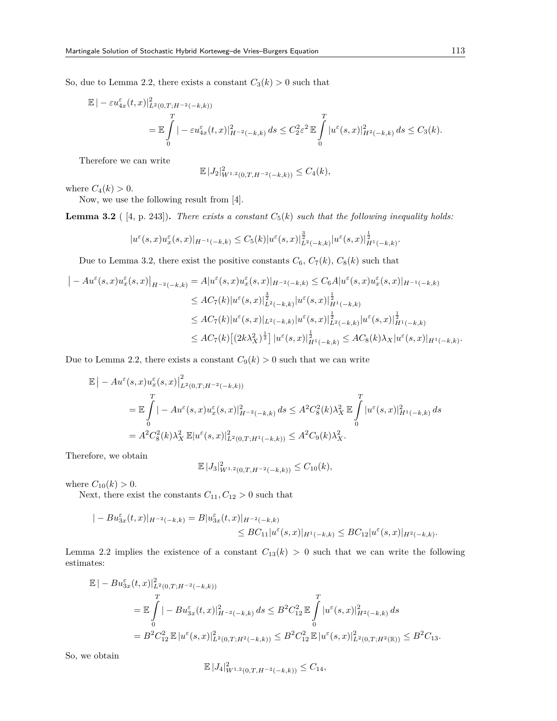So, due to Lemma 2.2, there exists a constant  $C_3(k) > 0$  such that

$$
\mathbb{E} |-\varepsilon u_{4x}^{\varepsilon}(t,x)|_{L^{2}(0,T;H^{-2}(-k,k))}^{2}
$$
\n
$$
=\mathbb{E} \int_{0}^{T} |-\varepsilon u_{4x}^{\varepsilon}(t,x)|_{H^{-2}(-k,k)}^{2} ds \leq C_{2}^{2} \varepsilon^{2} \mathbb{E} \int_{0}^{T} |u^{\varepsilon}(s,x)|_{H^{2}(-k,k)}^{2} ds \leq C_{3}(k).
$$

Therefore we can write

$$
\mathbb{E} |J_2|_{W^{1,2}(0,T,H^{-2}(-k,k))}^2 \leq C_4(k),
$$

where  $C_4(k) > 0$ .

Now, we use the following result from [4].

**Lemma 3.2** (  $[4, p. 243]$ ). *There exists a constant*  $C_5(k)$  *such that the following inequality holds:* 

$$
|u^\varepsilon(s,x)u^\varepsilon_x(s,x)|_{H^{-1}(-k,k)}\leq C_5(k)|u^\varepsilon(s,x)|_{L^2(-k,k)}^\frac32 |u^\varepsilon(s,x)|_{H^1(-k,k)}^\frac12.
$$

Due to Lemma 3.2, there exist the positive constants  $C_6$ ,  $C_7(k)$ ,  $C_8(k)$  such that

$$
\begin{split} \left| -A u^{\varepsilon}(s,x) u^{\varepsilon}_{x}(s,x) \right|_{H^{-2}(-k,k)} &= A |u^{\varepsilon}(s,x) u^{\varepsilon}_{x}(s,x) |_{H^{-2}(-k,k)} \leq C_{6} A |u^{\varepsilon}(s,x) u^{\varepsilon}_{x}(s,x) |_{H^{-1}(-k,k)} \\ &\leq A C_{7}(k) |u^{\varepsilon}(s,x)|^{\frac{3}{2}}_{L^{2}(-k,k)} |u^{\varepsilon}(s,x)|^{\frac{1}{2}}_{H^{1}(-k,k)} \\ &\leq A C_{7}(k) |u^{\varepsilon}(s,x)|_{L^{2}(-k,k)} |u^{\varepsilon}(s,x)|^{\frac{1}{2}}_{L^{2}(-k,k)} |u^{\varepsilon}(s,x)|^{\frac{1}{2}}_{H^{1}(-k,k)} \\ &\leq A C_{7}(k) \left[ (2k \lambda_{X}^{2})^{\frac{1}{2}} \right] |u^{\varepsilon}(s,x)|^{\frac{1}{2}}_{H^{1}(-k,k)} \leq A C_{8}(k) \lambda_{X} |u^{\varepsilon}(s,x)|_{H^{1}(-k,k)}. \end{split}
$$

Due to Lemma 2.2, there exists a constant  $C_9(k) > 0$  such that we can write

$$
\mathbb{E} \left| -A u^{\varepsilon}(s, x) u^{\varepsilon}_{x}(s, x) \right|_{L^{2}(0, T; H^{-2}(-k, k))}^{2}
$$
\n
$$
= \mathbb{E} \int_{0}^{T} \left| -A u^{\varepsilon}(s, x) u^{\varepsilon}_{x}(s, x) \right|_{H^{-2}(-k, k)}^{2} ds \leq A^{2} C_{8}^{2}(k) \lambda_{X}^{2} \mathbb{E} \int_{0}^{T} |u^{\varepsilon}(s, x)|_{H^{1}(-k, k)}^{2} ds
$$
\n
$$
= A^{2} C_{8}^{2}(k) \lambda_{X}^{2} \mathbb{E} |u^{\varepsilon}(s, x)|_{L^{2}(0, T; H^{1}(-k, k))}^{2} \leq A^{2} C_{9}(k) \lambda_{X}^{2}.
$$

Therefore, we obtain

$$
\mathbb{E} |J_3|_{W^{1,2}(0,T,H^{-2}(-k,k))}^2 \leq C_{10}(k),
$$

where  $C_{10}(k) > 0$ .

Next, there exist the constants  $C_{11}, C_{12} > 0$  such that

$$
|-Bu_{3x}^{\varepsilon}(t,x)|_{H^{-2}(-k,k)} = B|u_{3x}^{\varepsilon}(t,x)|_{H^{-2}(-k,k)} \le BC_{11}|u^{\varepsilon}(s,x)|_{H^{1}(-k,k)} \le BC_{12}|u^{\varepsilon}(s,x)|_{H^{2}(-k,k)}.
$$

Lemma 2.2 implies the existence of a constant  $C_{13}(k) > 0$  such that we can write the following estimates:

$$
\mathbb{E}|-Bu_{3x}^{\varepsilon}(t,x)|_{L^{2}(0,T;H^{-2}(-k,k))}^{2}
$$
\n
$$
= \mathbb{E}\int_{0}^{T}|-Bu_{3x}^{\varepsilon}(t,x)|_{H^{-2}(-k,k)}^{2} ds \leq B^{2}C_{12}^{2}\mathbb{E}\int_{0}^{T}|u^{\varepsilon}(s,x)|_{H^{2}(-k,k)}^{2} ds
$$
\n
$$
=B^{2}C_{12}^{2}\mathbb{E}|u^{\varepsilon}(s,x)|_{L^{2}(0,T;H^{2}(-k,k))}^{2} \leq B^{2}C_{12}^{2}\mathbb{E}|u^{\varepsilon}(s,x)|_{L^{2}(0,T;H^{2}(\mathbb{R}))}^{2} \leq B^{2}C_{13}.
$$

So, we obtain

$$
\mathbb{E} |J_4|_{W^{1,2}(0,T,H^{-2}(-k,k))}^2 \leq C_{14},
$$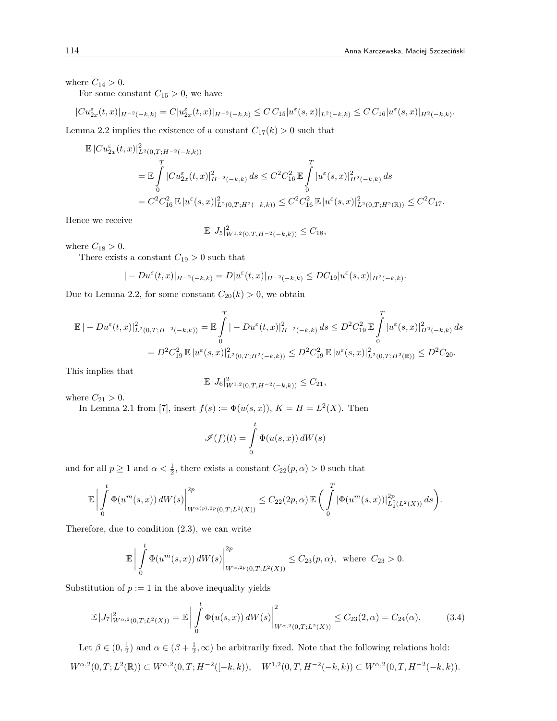where  $C_{14} > 0$ .

For some constant  $C_{15} > 0$ , we have

$$
|Cu_{2x}^{\varepsilon}(t,x)|_{H^{-2}(-k,k)} = C|u_{2x}^{\varepsilon}(t,x)|_{H^{-2}(-k,k)} \leq C C_{15}|u^{\varepsilon}(s,x)|_{L^{2}(-k,k)} \leq C C_{16}|u^{\varepsilon}(s,x)|_{H^{2}(-k,k)}.
$$

Lemma 2.2 implies the existence of a constant  $C_{17}(k) > 0$  such that

$$
\mathbb{E}|Cu_{2x}^{\varepsilon}(t,x)|_{L^{2}(0,T;H^{-2}(-k,k))}^{2}
$$
\n
$$
=\mathbb{E}\int_{0}^{T}|Cu_{2x}^{\varepsilon}(t,x)|_{H^{-2}(-k,k)}^{2}ds \leq C^{2}C_{16}^{2}\mathbb{E}\int_{0}^{T}|u^{\varepsilon}(s,x)|_{H^{2}(-k,k)}^{2}ds
$$
\n
$$
=C^{2}C_{16}^{2}\mathbb{E}|u^{\varepsilon}(s,x)|_{L^{2}(0,T;H^{2}(-k,k))}^{2} \leq C^{2}C_{16}^{2}\mathbb{E}|u^{\varepsilon}(s,x)|_{L^{2}(0,T;H^{2}(\mathbb{R}))}^{2} \leq C^{2}C_{17}.
$$

Hence we receive

$$
\mathbb{E} |J_5|_{W^{1,2}(0,T,H^{-2}(-k,k))}^2 \leq C_{18},
$$

where  $C_{18} > 0$ .

There exists a constant  $C_{19} > 0$  such that

$$
|-Du^{\varepsilon}(t,x)|_{H^{-2}(-k,k)}=D|u^{\varepsilon}(t,x)|_{H^{-2}(-k,k)}\leq DC_{19}|u^{\varepsilon}(s,x)|_{H^{2}(-k,k)}.
$$

Due to Lemma 2.2, for some constant  $C_{20}(k) > 0$ , we obtain

$$
\mathbb{E} | - Du^{\varepsilon}(t,x)|_{L^{2}(0,T;H^{-2}(-k,k))}^{2} = \mathbb{E} \int_{0}^{T} | - Du^{\varepsilon}(t,x)|_{H^{-2}(-k,k)}^{2} ds \leq D^{2} C_{19}^{2} \mathbb{E} \int_{0}^{T} |u^{\varepsilon}(s,x)|_{H^{2}(-k,k)}^{2} ds
$$
  
=  $D^{2} C_{19}^{2} \mathbb{E} |u^{\varepsilon}(s,x)|_{L^{2}(0,T;H^{2}(-k,k))}^{2} \leq D^{2} C_{19}^{2} \mathbb{E} |u^{\varepsilon}(s,x)|_{L^{2}(0,T;H^{2}(\mathbb{R}))}^{2} \leq D^{2} C_{20}.$ 

This implies that

$$
\mathbb{E} |J_6|_{W^{1,2}(0,T,H^{-2}(-k,k))}^2 \leq C_{21},
$$

where  $C_{21} > 0$ .

In Lemma 2.1 from [7], insert  $f(s) := \Phi(u(s, x))$ ,  $K = H = L^2(X)$ . Then

$$
\mathscr{I}(f)(t) = \int_{0}^{t} \Phi(u(s, x)) dW(s)
$$

and for all  $p \ge 1$  and  $\alpha < \frac{1}{2}$ , there exists a constant  $C_{22}(p, \alpha) > 0$  such that

$$
\mathbb{E}\bigg|\int\limits_0^t\Phi(u^{m}(s,x))\,dW(s)\bigg|_{W^{\alpha(p),2p}(0,T;L^2(X))}^{2p}\leq C_{22}(2p,\alpha)\,\mathbb{E}\bigg(\int\limits_0^T|\Phi(u^{m}(s,x))|_{L^0_2(L^2(X))}^{2p}\,ds\bigg).
$$

Therefore, due to condition (2.3), we can write

$$
\mathbb{E}\left|\int_{0}^{t} \Phi(u^{m}(s,x)) dW(s)\right|^{2p}_{W^{\alpha,2p}(0,T;L^{2}(X))} \leq C_{23}(p,\alpha), \text{ where } C_{23} > 0.
$$

Substitution of  $p := 1$  in the above inequality yields

$$
\mathbb{E}\left|J_{7}\right|^{2}_{W^{\alpha,2}(0,T;L^{2}(X))} = \mathbb{E}\left|\int_{0}^{t} \Phi(u(s,x))\,dW(s)\right|^{2}_{W^{\alpha,2}(0,T;L^{2}(X))} \leq C_{23}(2,\alpha) = C_{24}(\alpha). \tag{3.4}
$$

Let  $\beta \in (0, \frac{1}{2})$  and  $\alpha \in (\beta + \frac{1}{2}, \infty)$  be arbitrarily fixed. Note that the following relations hold:  $W^{\alpha,2}(0,T;L^2(\mathbb{R})) \subset W^{\alpha,2}(0,T;H^{-2}([-k,k)), \quad W^{1,2}(0,T,H^{-2}(-k,k)) \subset W^{\alpha,2}(0,T,H^{-2}(-k,k)).$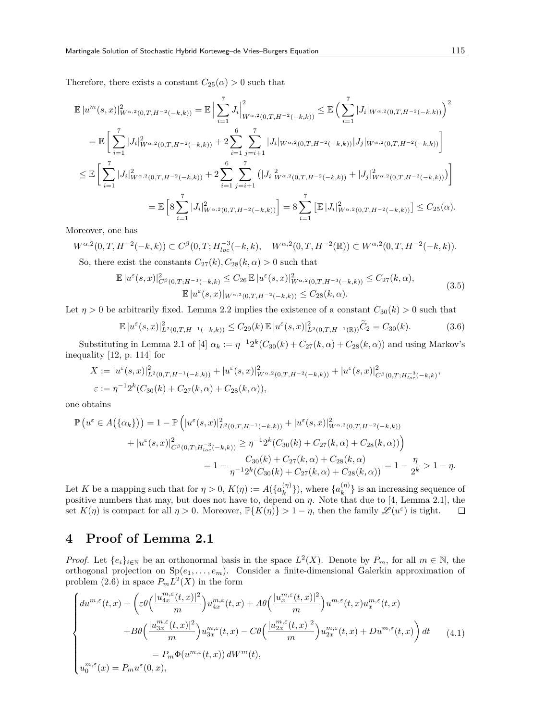Therefore, there exists a constant  $C_{25}(\alpha) > 0$  such that

$$
\mathbb{E}|u^{m}(s,x)|_{W^{\alpha,2}(0,T,H^{-2}(-k,k))}^{2} = \mathbb{E}\Big|\sum_{i=1}^{7}J_{i}\Big|_{W^{\alpha,2}(0,T,H^{-2}(-k,k))}^{2} \leq \mathbb{E}\Big(\sum_{i=1}^{7}|J_{i}|_{W^{\alpha,2}(0,T,H^{-2}(-k,k))}\Big)^{2}
$$
\n
$$
= \mathbb{E}\Big[\sum_{i=1}^{7}|J_{i}|_{W^{\alpha,2}(0,T,H^{-2}(-k,k))}^{2} + 2\sum_{i=1}^{6}\sum_{j=i+1}^{7}|J_{i}|_{W^{\alpha,2}(0,T,H^{-2}(-k,k))}|J_{j}|_{W^{\alpha,2}(0,T,H^{-2}(-k,k))}\Big]
$$
\n
$$
\leq \mathbb{E}\Big[\sum_{i=1}^{7}|J_{i}|_{W^{\alpha,2}(0,T,H^{-2}(-k,k))}^{2} + 2\sum_{i=1}^{6}\sum_{j=i+1}^{7}\big(|J_{i}|_{W^{\alpha,2}(0,T,H^{-2}(-k,k))}^{2} + |J_{j}|_{W^{\alpha,2}(0,T,H^{-2}(-k,k))}^{2}\big)\Big]
$$
\n
$$
= \mathbb{E}\Big[8\sum_{i=1}^{7}|J_{i}|_{W^{\alpha,2}(0,T,H^{-2}(-k,k))}^{2}\Big] = 8\sum_{i=1}^{7}\big[\mathbb{E}|J_{i}|_{W^{\alpha,2}(0,T,H^{-2}(-k,k))}^{2}\big] \leq C_{25}(\alpha).
$$

Moreover, one has

$$
W^{\alpha,2}(0,T,H^{-2}(-k,k)) \subset C^{\beta}(0,T;H_{loc}^{-3}(-k,k), \quad W^{\alpha,2}(0,T,H^{-2}(\mathbb{R})) \subset W^{\alpha,2}(0,T,H^{-2}(-k,k)).
$$
  
So, thus exist the constants  $C_{\alpha}(k)$ ,  $C_{\alpha}(k,k)$ ,  $0$  such that

So, there exist the constants  $C_{27}(k)$ ,  $C_{28}(k,\alpha) > 0$  such that

$$
\mathbb{E}|u^{\varepsilon}(s,x)|_{C^{\beta}(0,T;H^{-3}(-k,k)}^{2} \leq C_{26} \mathbb{E}|u^{\varepsilon}(s,x)|_{W^{\alpha,2}(0,T;H^{-3}(-k,k))}^{2} \leq C_{27}(k,\alpha),
$$
  

$$
\mathbb{E}|u^{\varepsilon}(s,x)|_{W^{\alpha,2}(0,T;H^{-2}(-k,k))} \leq C_{28}(k,\alpha).
$$
 (3.5)

Let  $\eta > 0$  be arbitrarily fixed. Lemma 2.2 implies the existence of a constant  $C_{30}(k) > 0$  such that

$$
\mathbb{E}|u^{\varepsilon}(s,x)|_{L^{2}(0,T,H^{-1}(-k,k))}^{2} \leq C_{29}(k)\mathbb{E}|u^{\varepsilon}(s,x)|_{L^{2}(0,T,H^{-1}(\mathbb{R}))}^{2} \widetilde{C}_{2} = C_{30}(k). \tag{3.6}
$$

Substituting in Lemma 2.1 of [4]  $\alpha_k := \eta^{-1} 2^k (C_{30}(k) + C_{27}(k, \alpha) + C_{28}(k, \alpha))$  and using Markov's inequality [12, p. 114] for

$$
X := |u^{\varepsilon}(s,x)|_{L^{2}(0,T,H^{-1}(-k,k))}^{2} + |u^{\varepsilon}(s,x)|_{W^{\alpha,2}(0,T,H^{-2}(-k,k))}^{2} + |u^{\varepsilon}(s,x)|_{C^{\beta}(0,T;H_{loc}^{-3}(-k,k))}^{2}
$$
  

$$
\varepsilon := \eta^{-1}2^{k}(C_{30}(k) + C_{27}(k,\alpha) + C_{28}(k,\alpha)),
$$

one obtains

$$
\mathbb{P}\left(u^{\varepsilon} \in A\big(\{\alpha_k\}\big)\right) = 1 - \mathbb{P}\left(|u^{\varepsilon}(s,x)|_{L^2(0,T,H^{-1}(-k,k))}^2 + |u^{\varepsilon}(s,x)|_{W^{\alpha,2}(0,T,H^{-2}(-k,k))}^2 + |u^{\varepsilon}(s,x)|_{C^{\beta}(0,T;H_{loc}^{-3}(-k,k))}^2 \ge \eta^{-1} 2^k (C_{30}(k) + C_{27}(k,\alpha) + C_{28}(k,\alpha))\right)
$$

$$
= 1 - \frac{C_{30}(k) + C_{27}(k,\alpha) + C_{28}(k,\alpha)}{\eta^{-1} 2^k (C_{30}(k) + C_{27}(k,\alpha) + C_{28}(k,\alpha))} = 1 - \frac{\eta}{2^k} > 1 - \eta.
$$

Let *K* be a mapping such that for  $\eta > 0$ ,  $K(\eta) := A({a_k^{(\eta)}})$  $\{a_k^{(\eta)}\}\)$ , where  $\{a_k^{(\eta)}\}$  $\binom{n}{k}$  is an increasing sequence of positive numbers that may, but does not have to, depend on *η*. Note that due to [4, Lemma 2.1], the set  $K(\eta)$  is compact for all  $\eta > 0$ . Moreover,  $\mathbb{P}\{K(\eta)\} > 1 - \eta$ , then the family  $\mathscr{L}(u^{\varepsilon})$  is tight.  $\Box$ 

## **4 Proof of Lemma 2.1**

*Proof.* Let  $\{e_i\}_{i\in\mathbb{N}}$  be an orthonormal basis in the space  $L^2(X)$ . Denote by  $P_m$ , for all  $m \in \mathbb{N}$ , the orthogonal projection on Sp(*e*1*, . . . , em*). Consider a finite-dimensional Galerkin approximation of problem  $(2.6)$  in space  $P_m L^2(X)$  in the form

$$
\begin{cases}\n du^{m,\varepsilon}(t,x) + \left(\varepsilon\theta\left(\frac{|u_{4x}^{m,\varepsilon}(t,x)|^2}{m}\right)u_{4x}^{m,\varepsilon}(t,x) + A\theta\left(\frac{|u_x^{m,\varepsilon}(t,x)|^2}{m}\right)u^{m,\varepsilon}(t,x)u_x^{m,\varepsilon}(t,x)\right. \\
\left. + B\theta\left(\frac{|u_{3x}^{m,\varepsilon}(t,x)|^2}{m}\right)u_{3x}^{m,\varepsilon}(t,x) - C\theta\left(\frac{|u_{2x}^{m,\varepsilon}(t,x)|^2}{m}\right)u_{2x}^{m,\varepsilon}(t,x) + Du^{m,\varepsilon}(t,x)\right)dt \\
= P_m\Phi(u^{m,\varepsilon}(t,x))\,dW^m(t),\n\end{cases}\n\tag{4.1}
$$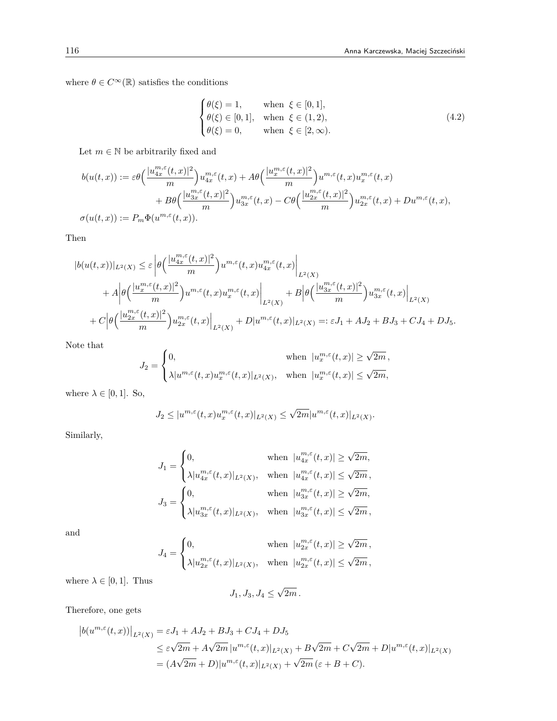where  $\theta \in C^{\infty}(\mathbb{R})$  satisfies the conditions

$$
\begin{cases}\n\theta(\xi) = 1, & \text{when } \xi \in [0, 1], \\
\theta(\xi) \in [0, 1], & \text{when } \xi \in (1, 2), \\
\theta(\xi) = 0, & \text{when } \xi \in [2, \infty).\n\end{cases}
$$
\n(4.2)

Let  $m \in \mathbb{N}$  be arbitrarily fixed and

$$
b(u(t,x)) := \varepsilon \theta \Big( \frac{|u_{4x}^{m,\varepsilon}(t,x)|^2}{m} \Big) u_{4x}^{m,\varepsilon}(t,x) + A\theta \Big( \frac{|u_x^{m,\varepsilon}(t,x)|^2}{m} \Big) u^{m,\varepsilon}(t,x) u_x^{m,\varepsilon}(t,x) + B\theta \Big( \frac{|u_{3x}^{m,\varepsilon}(t,x)|^2}{m} \Big) u_{3x}^{m,\varepsilon}(t,x) - C\theta \Big( \frac{|u_{2x}^{m,\varepsilon}(t,x)|^2}{m} \Big) u_{2x}^{m,\varepsilon}(t,x) + Du^{m,\varepsilon}(t,x),
$$
  

$$
\sigma(u(t,x)) := P_m \Phi(u^{m,\varepsilon}(t,x)).
$$

Then

$$
|b(u(t,x))|_{L^2(X)} \leq \varepsilon \left| \theta\left(\frac{|u_{4x}^{m,\varepsilon}(t,x)|^2}{m}\right) u^{m,\varepsilon}(t,x) u_{4x}^{m,\varepsilon}(t,x) \right|_{L^2(X)} + A \left| \theta\left(\frac{|u_{3x}^{m,\varepsilon}(t,x)|^2}{m}\right) u^{m,\varepsilon}(t,x) u_x^{m,\varepsilon}(t,x) \right|_{L^2(X)} + B \left| \theta\left(\frac{|u_{3x}^{m,\varepsilon}(t,x)|^2}{m}\right) u_{3x}^{m,\varepsilon}(t,x) \right|_{L^2(X)} + C \left| \theta\left(\frac{|u_{2x}^{m,\varepsilon}(t,x)|^2}{m}\right) u_{2x}^{m,\varepsilon}(t,x) \right|_{L^2(X)} + D |u^{m,\varepsilon}(t,x)|_{L^2(X)} =: \varepsilon J_1 + AJ_2 + BJ_3 + CJ_4 + DJ_5.
$$

Note that

$$
J_2 = \begin{cases} 0, & \text{when } |u^{m,\varepsilon}_x(t,x)| \geq \sqrt{2m} \,, \\ \lambda |u^{m,\varepsilon}(t,x)u^{m,\varepsilon}_x(t,x)|_{L^2(X)}, & \text{when } |u^{m,\varepsilon}_x(t,x)| \leq \sqrt{2m}, \end{cases}
$$

where  $\lambda \in [0, 1]$ . So,

$$
J_2 \le |u^{m,\varepsilon}(t,x)u^{m,\varepsilon}_x(t,x)|_{L^2(X)} \le \sqrt{2m}|u^{m,\varepsilon}(t,x)|_{L^2(X)}.
$$

Similarly,

$$
\begin{aligned} J_1 &= \begin{cases} 0, & \text{when} \hspace{0.1cm} |u^{m,\varepsilon}_{4x}(t,x)| \geq \sqrt{2m}, \\ \lambda |u^{m,\varepsilon}_{4x}(t,x)|_{L^2(X)}, & \text{when} \hspace{0.1cm} |u^{m,\varepsilon}_{4x}(t,x)| \leq \sqrt{2m} \end{cases}, \\ J_3 &= \begin{cases} 0, & \text{when} \hspace{0.1cm} |u^{m,\varepsilon}_{3x}(t,x)| \geq \sqrt{2m}, \\ \lambda |u^{m,\varepsilon}_{3x}(t,x)|_{L^2(X)}, & \text{when} \hspace{0.1cm} |u^{m,\varepsilon}_{3x}(t,x)| \leq \sqrt{2m} \end{cases}, \end{aligned}
$$

and

$$
J_4 = \begin{cases} 0, & \text{when } |u_{2x}^{m,\varepsilon}(t,x)| \geq \sqrt{2m} \,, \\ \lambda |u_{2x}^{m,\varepsilon}(t,x)|_{L^2(X)}, & \text{when } |u_{2x}^{m,\varepsilon}(t,x)| \leq \sqrt{2m} \,, \end{cases}
$$

where  $\lambda \in [0, 1]$ . Thus

*J*1*, J*3*, J*<sup>4</sup> *≤ √* 2*m .*

Therefore, one gets

$$
|b(u^{m,\varepsilon}(t,x))|_{L^{2}(X)} = \varepsilon J_{1} + AJ_{2} + BJ_{3} + CJ_{4} + DJ_{5}
$$
  
\n
$$
\leq \varepsilon \sqrt{2m} + A\sqrt{2m} |u^{m,\varepsilon}(t,x)|_{L^{2}(X)} + B\sqrt{2m} + C\sqrt{2m} + D|u^{m,\varepsilon}(t,x)|_{L^{2}(X)}
$$
  
\n
$$
= (A\sqrt{2m} + D)|u^{m,\varepsilon}(t,x)|_{L^{2}(X)} + \sqrt{2m} (\varepsilon + B + C).
$$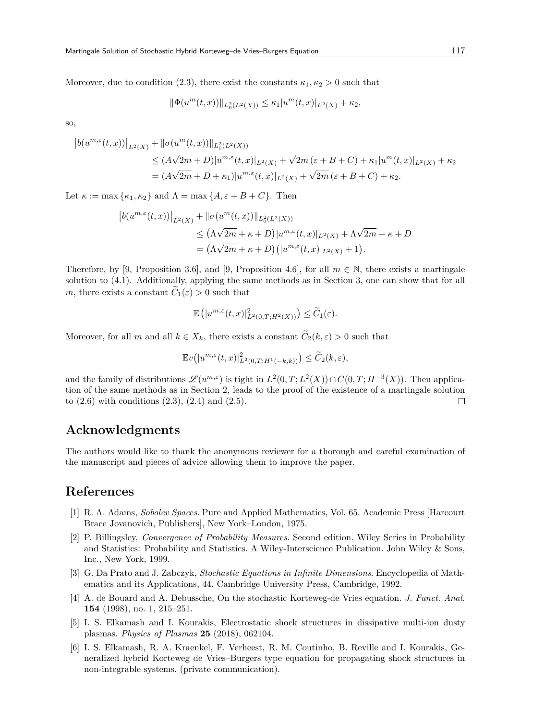Moreover, due to condition (2.3), there exist the constants  $\kappa_1, \kappa_2 > 0$  such that

$$
\|\Phi(u^m(t,x))\|_{L^2_0(L^2(X))} \le \kappa_1 |u^m(t,x)|_{L^2(X)} + \kappa_2,
$$

so,

$$
|b(u^{m,\varepsilon}(t,x))|_{L^2(X)} + ||\sigma(u^m(t,x))||_{L^2_0(L^2(X))}
$$
  
\n
$$
\leq (A\sqrt{2m} + D)|u^{m,\varepsilon}(t,x)|_{L^2(X)} + \sqrt{2m}(\varepsilon + B + C) + \kappa_1|u^m(t,x)|_{L^2(X)} + \kappa_2
$$
  
\n
$$
= (A\sqrt{2m} + D + \kappa_1)|u^{m,\varepsilon}(t,x)|_{L^2(X)} + \sqrt{2m}(\varepsilon + B + C) + \kappa_2.
$$

Let  $\kappa := \max{\kappa_1, \kappa_2}$  and  $\Lambda = \max{\{A, \varepsilon + B + C\}}$ . Then

$$
|b(u^{m,\varepsilon}(t,x))|_{L^2(X)} + ||\sigma(u^m(t,x))||_{L^2_0(L^2(X))}
$$
  
\n
$$
\leq (\Lambda\sqrt{2m} + \kappa + D)|u^{m,\varepsilon}(t,x)|_{L^2(X)} + \Lambda\sqrt{2m} + \kappa + D
$$
  
\n
$$
= (\Lambda\sqrt{2m} + \kappa + D)(|u^{m,\varepsilon}(t,x)|_{L^2(X)} + 1).
$$

Therefore, by [9, Proposition 3.6], and [9, Proposition 4.6], for all  $m \in \mathbb{N}$ , there exists a martingale solution to (4.1). Additionally, applying the same methods as in Section 3, one can show that for all *m*, there exists a constant  $\tilde{C}_1(\varepsilon) > 0$  such that

$$
\mathbb{E}\left(|u^{m,\varepsilon}(t,x)|_{L^2(0,T;H^2(X))}^2\right) \le \widetilde{C}_1(\varepsilon).
$$

Moreover, for all *m* and all  $k \in X_k$ , there exists a constant  $\widetilde{C}_2(k,\varepsilon) > 0$  such that

$$
\mathbb{E}v(|u^{m,\varepsilon}(t,x)|_{L^2(0,T;H^1(-k,k))}^2) \le \widetilde{C}_2(k,\varepsilon),
$$

and the family of distributions  $\mathscr{L}(u^{m,\varepsilon})$  is tight in  $L^2(0,T;L^2(X)) \cap C(0,T;H^{-3}(X))$ . Then application of the same methods as in Section 2, leads to the proof of the existence of a martingale solution to  $(2.6)$  with conditions  $(2.3)$ ,  $(2.4)$  and  $(2.5)$ .  $\Box$ 

### **Acknowledgments**

The authors would like to thank the anonymous reviewer for a thorough and careful examination of the manuscript and pieces of advice allowing them to improve the paper.

## **References**

- [1] R. A. Adams, *Sobolev Spaces*. Pure and Applied Mathematics, Vol. 65. Academic Press [Harcourt Brace Jovanovich, Publishers], New York–London, 1975.
- [2] P. Billingsley, *Convergence of Probability Measures*. Second edition. Wiley Series in Probability and Statistics: Probability and Statistics. A Wiley-Interscience Publication. John Wiley & Sons, Inc., New York, 1999.
- [3] G. Da Prato and J. Zabczyk, *Stochastic Equations in Infinite Dimensions*. Encyclopedia of Mathematics and its Applications, 44. Cambridge University Press, Cambridge, 1992.
- [4] A. de Bouard and A. Debussche, On the stochastic Korteweg-de Vries equation. *J. Funct. Anal.* **154** (1998), no. 1, 215–251.
- [5] I. S. Elkamash and I. Kourakis, Electrostatic shock structures in dissipative multi-ion dusty plasmas. *Physics of Plasmas* **25** (2018), 062104.
- [6] I. S. Elkamash, R. A. Kraenkel, F. Verheest, R. M. Coutinho, B. Reville and I. Kourakis, Generalized hybrid Korteweg de Vries–Burgers type equation for propagating shock structures in non-integrable systems. (private communication).